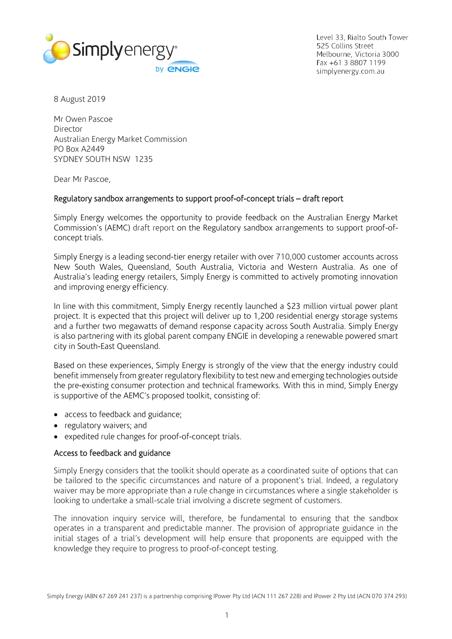

Level 33, Rialto South Tower 525 Collins Street Melbourne, Victoria 3000 Fax +61 3 8807 1199 simplyenergy.com.au

8 August 2019

Mr Owen Pascoe Director Australian Energy Market Commission PO Box A2449 SYDNEY SOUTH NSW 1235

Dear Mr Pascoe,

# Regulatory sandbox arrangements to support proof-of-concept trials – draft report

Simply Energy welcomes the opportunity to provide feedback on the Australian Energy Market Commission's (AEMC) draft report on the Regulatory sandbox arrangements to support proof-ofconcept trials.

Simply Energy is a leading second-tier energy retailer with over 710,000 customer accounts across New South Wales, Queensland, South Australia, Victoria and Western Australia. As one of Australia's leading energy retailers, Simply Energy is committed to actively promoting innovation and improving energy efficiency.

In line with this commitment, Simply Energy recently launched a \$23 million virtual power plant project. It is expected that this project will deliver up to 1,200 residential energy storage systems and a further two megawatts of demand response capacity across South Australia. Simply Energy is also partnering with its global parent company ENGIE in developing a renewable powered smart city in South-East Queensland.

Based on these experiences, Simply Energy is strongly of the view that the energy industry could benefit immensely from greater regulatory flexibility to test new and emerging technologies outside the pre-existing consumer protection and technical frameworks. With this in mind, Simply Energy is supportive of the AEMC's proposed toolkit, consisting of:

- access to feedback and guidance;
- regulatory waivers; and
- expedited rule changes for proof-of-concept trials.

## Access to feedback and guidance

Simply Energy considers that the toolkit should operate as a coordinated suite of options that can be tailored to the specific circumstances and nature of a proponent's trial. Indeed, a regulatory waiver may be more appropriate than a rule change in circumstances where a single stakeholder is looking to undertake a small-scale trial involving a discrete segment of customers.

The innovation inquiry service will, therefore, be fundamental to ensuring that the sandbox operates in a transparent and predictable manner. The provision of appropriate guidance in the initial stages of a trial's development will help ensure that proponents are equipped with the knowledge they require to progress to proof-of-concept testing.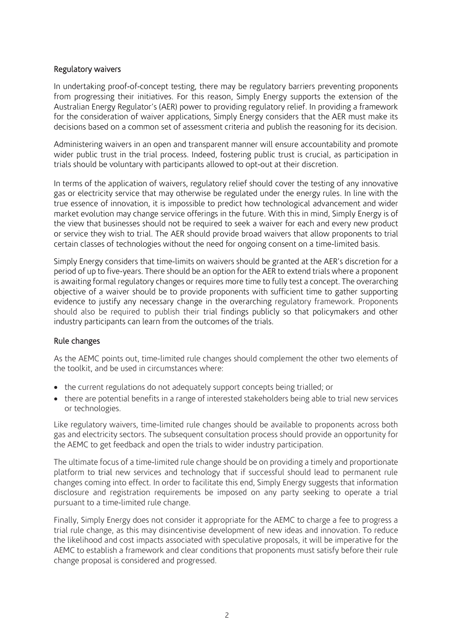# Regulatory waivers

In undertaking proof-of-concept testing, there may be regulatory barriers preventing proponents from progressing their initiatives. For this reason, Simply Energy supports the extension of the Australian Energy Regulator's (AER) power to providing regulatory relief. In providing a framework for the consideration of waiver applications, Simply Energy considers that the AER must make its decisions based on a common set of assessment criteria and publish the reasoning for its decision.

Administering waivers in an open and transparent manner will ensure accountability and promote wider public trust in the trial process. Indeed, fostering public trust is crucial, as participation in trials should be voluntary with participants allowed to opt-out at their discretion.

In terms of the application of waivers, regulatory relief should cover the testing of any innovative gas or electricity service that may otherwise be regulated under the energy rules. In line with the true essence of innovation, it is impossible to predict how technological advancement and wider market evolution may change service offerings in the future. With this in mind, Simply Energy is of the view that businesses should not be required to seek a waiver for each and every new product or service they wish to trial. The AER should provide broad waivers that allow proponents to trial certain classes of technologies without the need for ongoing consent on a time-limited basis.

Simply Energy considers that time-limits on waivers should be granted at the AER's discretion for a period of up to five-years. There should be an option for the AER to extend trials where a proponent is awaiting formal regulatory changes or requires more time to fully test a concept. The overarching objective of a waiver should be to provide proponents with sufficient time to gather supporting evidence to justify any necessary change in the overarching regulatory framework. Proponents should also be required to publish their trial findings publicly so that policymakers and other industry participants can learn from the outcomes of the trials.

## Rule changes

As the AEMC points out, time-limited rule changes should complement the other two elements of the toolkit, and be used in circumstances where:

- the current regulations do not adequately support concepts being trialled; or
- there are potential benefits in a range of interested stakeholders being able to trial new services or technologies.

Like regulatory waivers, time-limited rule changes should be available to proponents across both gas and electricity sectors. The subsequent consultation process should provide an opportunity for the AEMC to get feedback and open the trials to wider industry participation.

The ultimate focus of a time-limited rule change should be on providing a timely and proportionate platform to trial new services and technology that if successful should lead to permanent rule changes coming into effect. In order to facilitate this end, Simply Energy suggests that information disclosure and registration requirements be imposed on any party seeking to operate a trial pursuant to a time-limited rule change.

Finally, Simply Energy does not consider it appropriate for the AEMC to charge a fee to progress a trial rule change, as this may disincentivise development of new ideas and innovation. To reduce the likelihood and cost impacts associated with speculative proposals, it will be imperative for the AEMC to establish a framework and clear conditions that proponents must satisfy before their rule change proposal is considered and progressed.